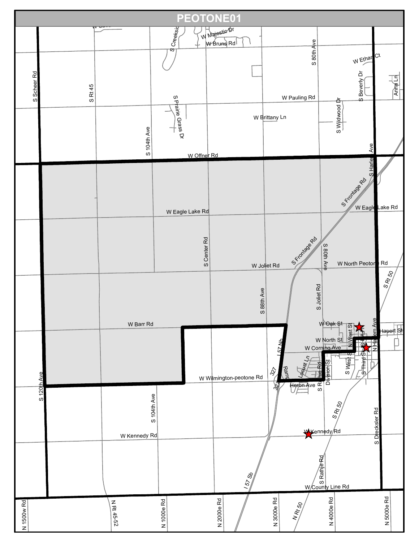